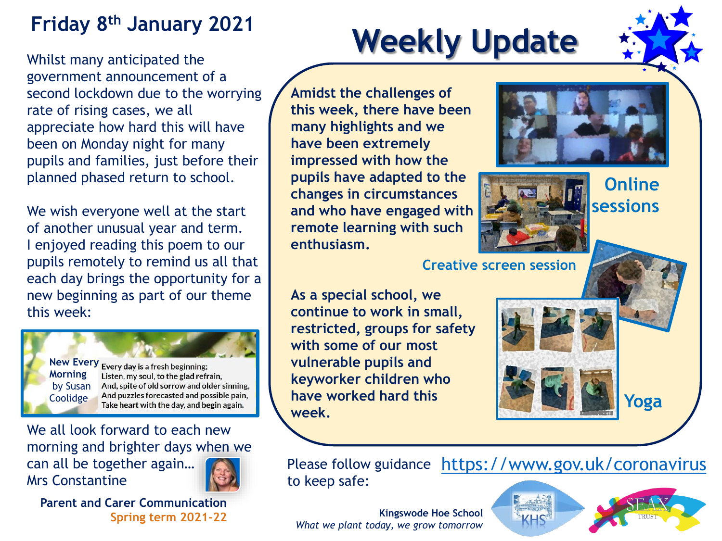### **Friday 8th January 2021**

Whilst many anticipated the government announcement of a second lockdown due to the worrying rate of rising cases, we all appreciate how hard this will have been on Monday night for many pupils and families, just before their planned phased return to school.

We wish everyone well at the start of another unusual year and term. I enjoyed reading this poem to our pupils remotely to remind us all that each day brings the opportunity for a new beginning as part of our theme this week:

**Morning** by Susan Coolidge

**New Every** Every day is a fresh beginning; Listen, my soul, to the glad refrain, And, spite of old sorrow and older sinning, And puzzles forecasted and possible pain, Take heart with the day, and begin again.

We all look forward to each new morning and brighter days when we can all be together again… Mrs Constantine



**Parent and Carer Communication Spring term 2021-22**

# **Weekly Update**

**Amidst the challenges of this week, there have been many highlights and we have been extremely impressed with how the pupils have adapted to the changes in circumstances and who have engaged with remote learning with such enthusiasm.**





**Online sessions**

**Creative screen session**

**As a special school, we continue to work in small, restricted, groups for safety with some of our most vulnerable pupils and keyworker children who have worked hard this week.**



Please follow guidance <https://www.gov.uk/coronavirus> to keep safe:

**Kingswode Hoe School** *What we plant today, we grow tomorrow*

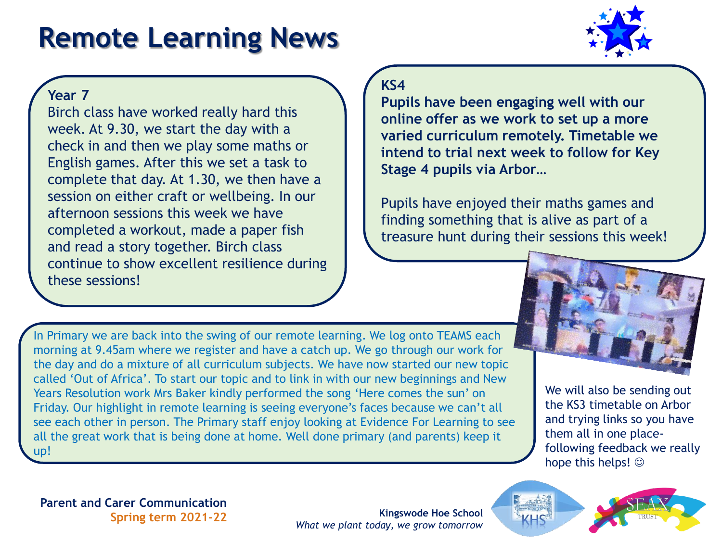# **Remote Learning News**



#### **Year 7**

Birch class have worked really hard this week. At 9.30, we start the day with a check in and then we play some maths or English games. After this we set a task to complete that day. At 1.30, we then have a session on either craft or wellbeing. In our afternoon sessions this week we have completed a workout, made a paper fish and read a story together. Birch class continue to show excellent resilience during these sessions!

#### **KS4**

**Pupils have been engaging well with our online offer as we work to set up a more varied curriculum remotely. Timetable we intend to trial next week to follow for Key Stage 4 pupils via Arbor…** 

Pupils have enjoyed their maths games and finding something that is alive as part of a treasure hunt during their sessions this week!

In Primary we are back into the swing of our remote learning. We log onto TEAMS each morning at 9.45am where we register and have a catch up. We go through our work for the day and do a mixture of all curriculum subjects. We have now started our new topic called 'Out of Africa'. To start our topic and to link in with our new beginnings and New Years Resolution work Mrs Baker kindly performed the song 'Here comes the sun' on Friday. Our highlight in remote learning is seeing everyone's faces because we can't all see each other in person. The Primary staff enjoy looking at Evidence For Learning to see all the great work that is being done at home. Well done primary (and parents) keep it up!



We will also be sending out the KS3 timetable on Arbor and trying links so you have them all in one placefollowing feedback we really hope this helps!  $\odot$ 

**Parent and Carer Communication Spring term 2021-22**

**Kingswode Hoe School** *What we plant today, we grow tomorrow*



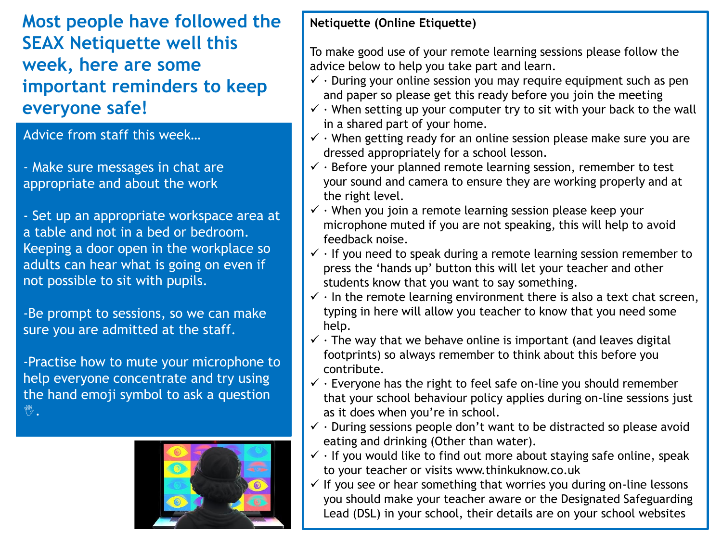**Most people have followed the SEAX Netiquette well this week, here are some important reminders to keep everyone safe!** 

Advice from staff this week…

- Make sure messages in chat are appropriate and about the work

- Set up an appropriate workspace area at a table and not in a bed or bedroom. Keeping a door open in the workplace so adults can hear what is going on even if not possible to sit with pupils.

-Be prompt to sessions, so we can make sure you are admitted at the staff.

-Practise how to mute your microphone to help everyone concentrate and try using the hand emoji symbol to ask a question **M2.** 



#### **Netiquette (Online Etiquette)**

To make good use of your remote learning sessions please follow the advice below to help you take part and learn.

- $\checkmark$  · During your online session you may require equipment such as pen and paper so please get this ready before you join the meeting
- $\checkmark$  · When setting up your computer try to sit with your back to the wall in a shared part of your home.
- $\checkmark$  · When getting ready for an online session please make sure you are dressed appropriately for a school lesson.
- $\checkmark$  · Before your planned remote learning session, remember to test your sound and camera to ensure they are working properly and at the right level.
- $\checkmark$   $\cdot$  When you join a remote learning session please keep your microphone muted if you are not speaking, this will help to avoid feedback noise.
- $\checkmark$  · If you need to speak during a remote learning session remember to press the 'hands up' button this will let your teacher and other students know that you want to say something.
- $\checkmark$  · In the remote learning environment there is also a text chat screen, typing in here will allow you teacher to know that you need some help.
- $\checkmark$  · The way that we behave online is important (and leaves digital footprints) so always remember to think about this before you contribute.
- $\checkmark$  · Everyone has the right to feel safe on-line you should remember that your school behaviour policy applies during on-line sessions just as it does when you're in school.
- $\checkmark$  · During sessions people don't want to be distracted so please avoid eating and drinking (Other than water).
- $\checkmark$  · If you would like to find out more about staying safe online, speak to your teacher or visits www.thinkuknow.co.uk
- $\checkmark$  If you see or hear something that worries you during on-line lessons you should make your teacher aware or the Designated Safeguarding Lead (DSL) in your school, their details are on your school websites